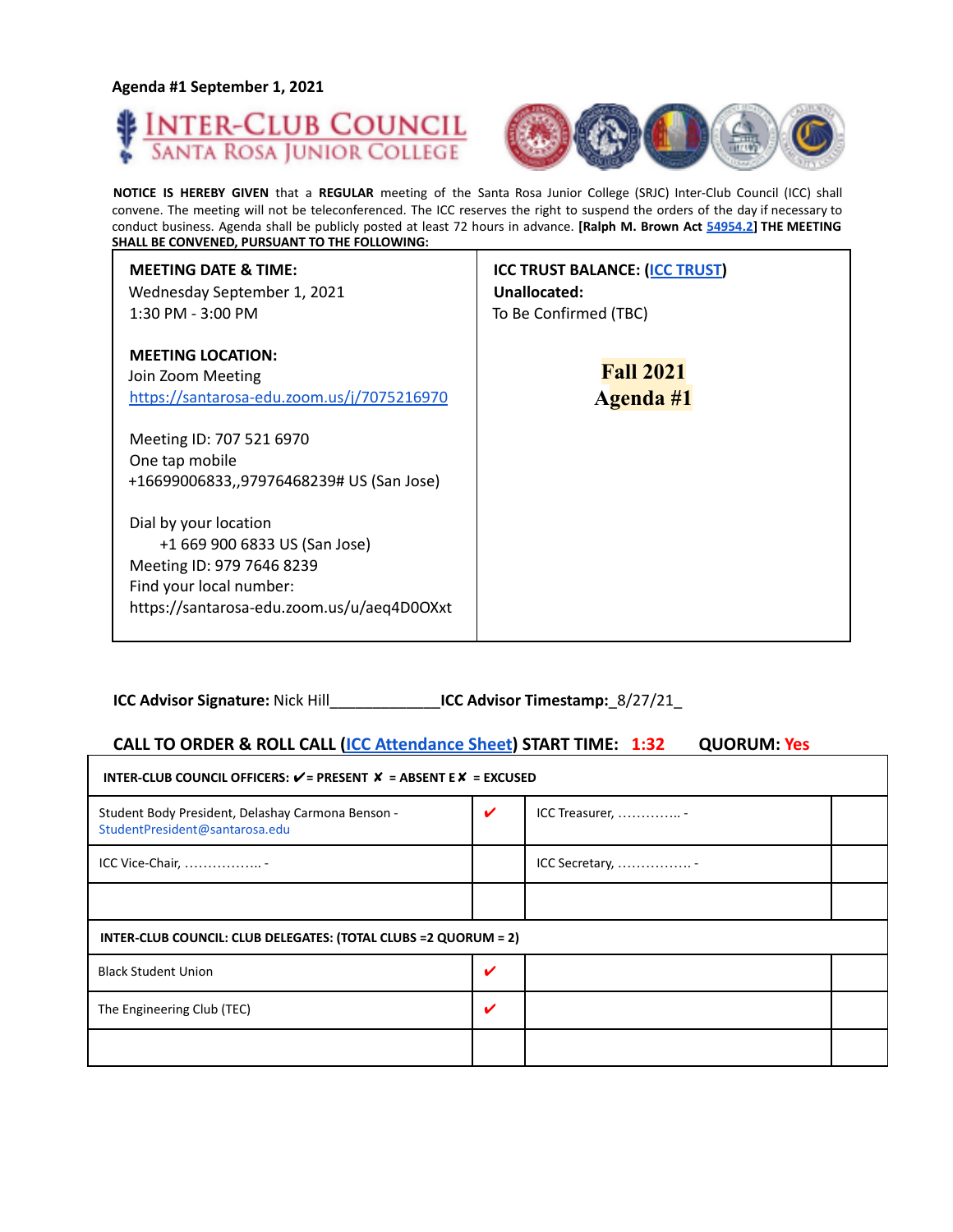**Agenda #1 September 1, 2021**





**NOTICE IS HEREBY GIVEN** that a **REGULAR** meeting of the Santa Rosa Junior College (SRJC) Inter-Club Council (ICC) shall convene. The meeting will not be teleconferenced. The ICC reserves the right to suspend the orders of the day if necessary to conduct business. Agenda shall be publicly posted at least 72 hours in advance. **[Ralph M. Brown Act 54954.2] THE MEETING SHALL BE CONVENED, PURSUANT TO THE FOLLOWING:**

| <b>MEETING DATE &amp; TIME:</b><br>Wednesday September 1, 2021<br>1:30 PM - 3:00 PM                                                                          | <b>ICC TRUST BALANCE: (ICC TRUST)</b><br>Unallocated:<br>To Be Confirmed (TBC) |
|--------------------------------------------------------------------------------------------------------------------------------------------------------------|--------------------------------------------------------------------------------|
| <b>MEETING LOCATION:</b><br>Join Zoom Meeting<br>https://santarosa-edu.zoom.us/j/7075216970                                                                  | <b>Fall 2021</b><br>Agenda #1                                                  |
| Meeting ID: 707 521 6970<br>One tap mobile<br>+16699006833,,97976468239# US (San Jose)                                                                       |                                                                                |
| Dial by your location<br>+1 669 900 6833 US (San Jose)<br>Meeting ID: 979 7646 8239<br>Find your local number:<br>https://santarosa-edu.zoom.us/u/aeq4D0OXxt |                                                                                |

**ICC Advisor Signature:** Nick Hill\_\_\_\_\_\_\_\_\_\_\_\_\_**ICC Advisor Timestamp:**\_8/27/21\_

## **CALL TO ORDER & ROLL CALL (ICC Attendance Sheet) START TIME: 1:32 QUORUM: Yes**

| INTER-CLUB COUNCIL OFFICERS: $V = P$ RESENT $X = AB$ SENT E $X = EXCUSED$           |                            |                |  |  |  |  |
|-------------------------------------------------------------------------------------|----------------------------|----------------|--|--|--|--|
| Student Body President, Delashay Carmona Benson -<br>StudentPresident@santarosa.edu | $\boldsymbol{\mathcal{U}}$ | ICC Treasurer, |  |  |  |  |
| ICC Vice-Chair,                                                                     |                            | ICC Secretary, |  |  |  |  |
|                                                                                     |                            |                |  |  |  |  |
| INTER-CLUB COUNCIL: CLUB DELEGATES: (TOTAL CLUBS = 2 QUORUM = 2)                    |                            |                |  |  |  |  |
| <b>Black Student Union</b>                                                          | ✔                          |                |  |  |  |  |
| The Engineering Club (TEC)                                                          | $\checkmark$               |                |  |  |  |  |
|                                                                                     |                            |                |  |  |  |  |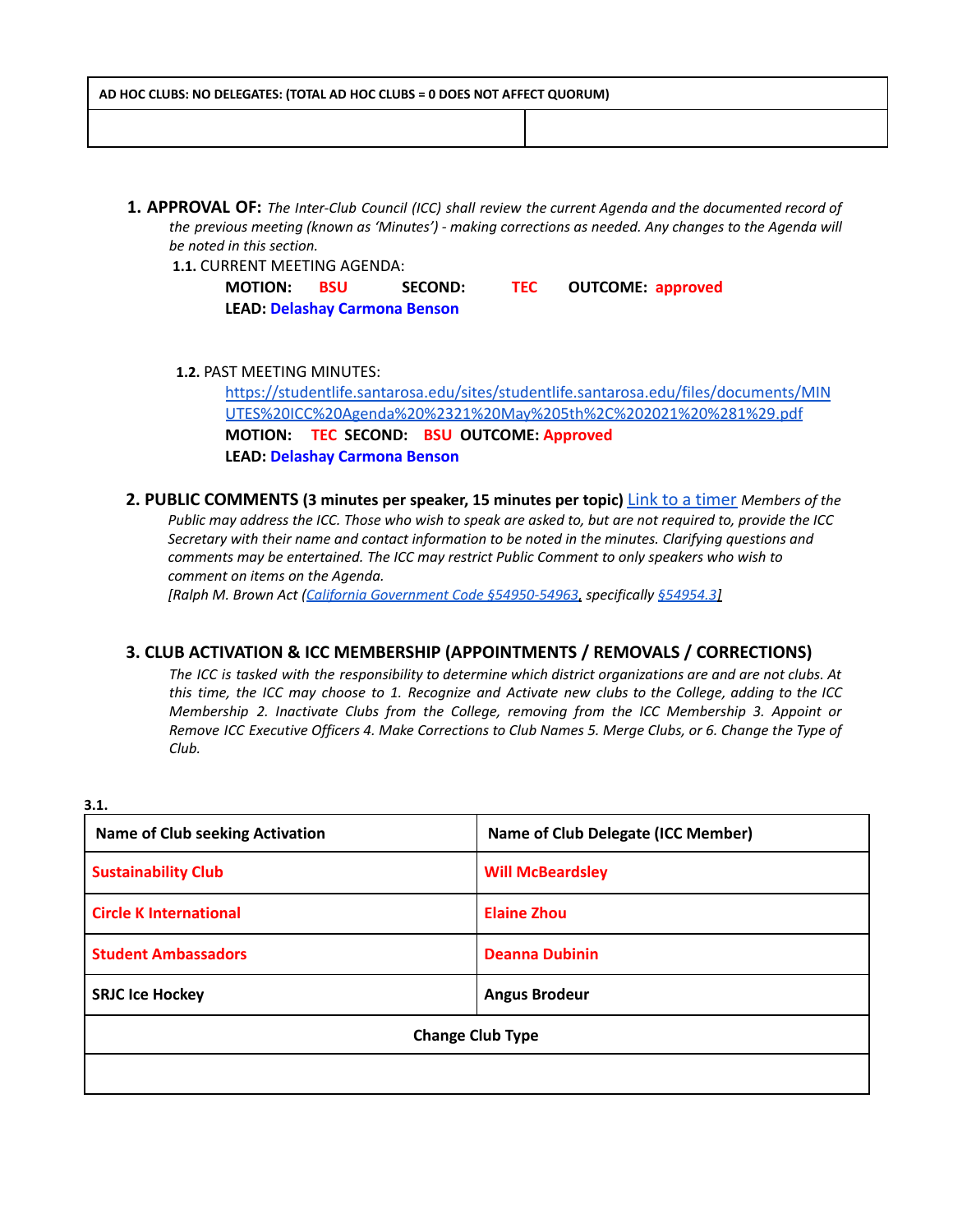| AD HOC CLUBS: NO DELEGATES: (TOTAL AD HOC CLUBS = 0 DOES NOT AFFECT QUORUM) |  |  |  |
|-----------------------------------------------------------------------------|--|--|--|
|                                                                             |  |  |  |

**1. APPROVAL OF:** *The Inter-Club Council (ICC) shall review the current Agenda and the documented record of the previous meeting (known as 'Minutes') - making corrections as needed. Any changes to the Agenda will be noted in this section.*

**1.1.** CURRENT MEETING AGENDA:

| <b>MOTION:</b>                       | - BSU | <b>SECOND:</b> | <b>TEC</b> | <b>OUTCOME: approved</b> |
|--------------------------------------|-------|----------------|------------|--------------------------|
| <b>LEAD: Delashay Carmona Benson</b> |       |                |            |                          |

**1.2.** PAST MEETING MINUTES:

[https://studentlife.santarosa.edu/sites/studentlife.santarosa.edu/files/documents/MIN](https://studentlife.santarosa.edu/sites/studentlife.santarosa.edu/files/documents/MINUTES%20ICC%20Agenda%20%2321%20May%205th%2C%202021%20%281%29.pdf) [UTES%20ICC%20Agenda%20%2321%20May%205th%2C%202021%20%281%29.pdf](https://studentlife.santarosa.edu/sites/studentlife.santarosa.edu/files/documents/MINUTES%20ICC%20Agenda%20%2321%20May%205th%2C%202021%20%281%29.pdf) **MOTION: TEC SECOND: BSU OUTCOME: Approved LEAD: Delashay Carmona Benson**

**2. PUBLIC COMMENTS (3 minutes per speaker, 15 minutes per topic)** Link to a timer *Members of the* Public may address the ICC. Those who wish to speak are asked to, but are not required to, provide the ICC *Secretary with their name and contact information to be noted in the minutes. Clarifying questions and comments may be entertained. The ICC may restrict Public Comment to only speakers who wish to comment on items on the Agenda.*

*[Ralph M. Brown Act (California Government Code §54950-54963, specifically §54954.3]*

### **3. CLUB ACTIVATION & ICC MEMBERSHIP (APPOINTMENTS / REMOVALS / CORRECTIONS)**

The ICC is tasked with the responsibility to determine which district organizations are and are not clubs. At this time, the ICC may choose to 1. Recognize and Activate new clubs to the College, adding to the ICC *Membership 2. Inactivate Clubs from the College, removing from the ICC Membership 3. Appoint or* Remove ICC Executive Officers 4. Make Corrections to Club Names 5. Merge Clubs, or 6. Change the Type of *Club.*

**3.1. Name of Club seeking Activation Name of Club Delegate (ICC Member) Sustainability Club Will McBeardsley Circle K International Elaine Zhou Student Ambassadors Deanna Dubinin SRJC** Ice Hockey **Angus** Brodeur **Change Club Type**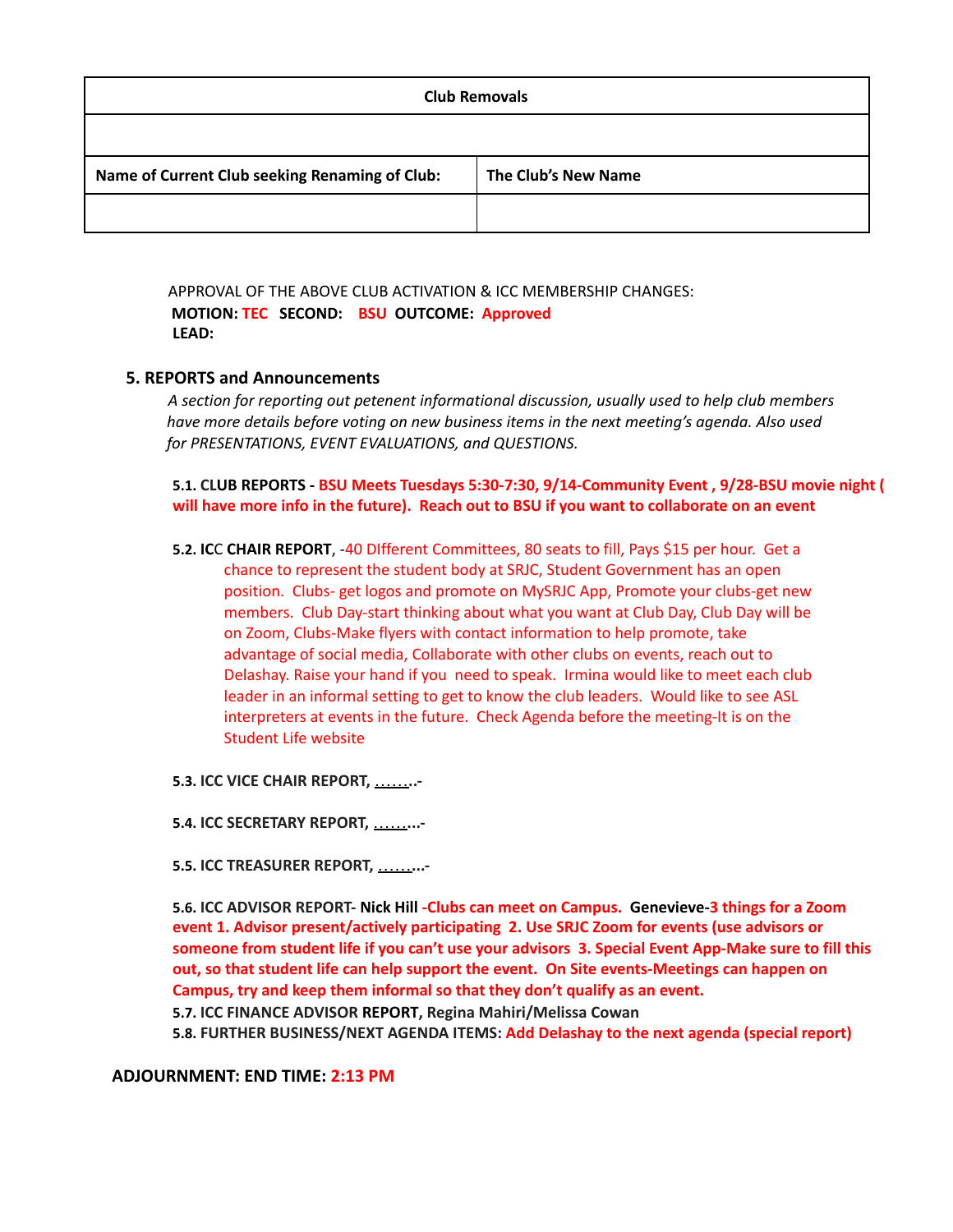| <b>Club Removals</b>                           |                     |  |  |
|------------------------------------------------|---------------------|--|--|
|                                                |                     |  |  |
| Name of Current Club seeking Renaming of Club: | The Club's New Name |  |  |
|                                                |                     |  |  |

APPROVAL OF THE ABOVE CLUB ACTIVATION & ICC MEMBERSHIP CHANGES: **MOTION: TEC SECOND: BSU OUTCOME: Approved LEAD:**

#### **5. REPORTS and Announcements**

*A section for reporting out petenent informational discussion, usually used to help club members have more details before voting on new business items in the next meeting's agenda. Also used for PRESENTATIONS, EVENT EVALUATIONS, and QUESTIONS.*

**5.1. CLUB REPORTS - BSU Meets Tuesdays 5:30-7:30, 9/14-Community Event , 9/28-BSU movie night ( will have more info in the future). Reach out to BSU if you want to collaborate on an event**

**5.2. IC**C **CHAIR REPORT**, -40 DIfferent Committees, 80 seats to fill, Pays \$15 per hour. Get a chance to represent the student body at SRJC, Student Government has an open position. Clubs- get logos and promote on MySRJC App, Promote your clubs-get new members. Club Day-start thinking about what you want at Club Day, Club Day will be on Zoom, Clubs-Make flyers with contact information to help promote, take advantage of social media, Collaborate with other clubs on events, reach out to Delashay. Raise your hand if you need to speak. Irmina would like to meet each club leader in an informal setting to get to know the club leaders. Would like to see ASL interpreters at events in the future. Check Agenda before the meeting-It is on the Student Life website

**5.3. ICC VICE CHAIR REPORT,** ……**..-**

**5.4. ICC SECRETARY REPORT,** ……**...-**

**5.5. ICC TREASURER REPORT,** ……**...-**

**5.6. ICC ADVISOR REPORT- Nick Hill -Clubs can meet on Campus. Genevieve-3 things for a Zoom event 1. Advisor present/actively participating 2. Use SRJC Zoom for events (use advisors or** someone from student life if you can't use your advisors 3. Special Event App-Make sure to fill this **out, so that student life can help support the event. On Site events-Meetings can happen on Campus, try and keep them informal so that they don't qualify as an event. 5.7. ICC FINANCE ADVISOR REPORT, Regina Mahiri/Melissa Cowan**

**5.8. FURTHER BUSINESS/NEXT AGENDA ITEMS: Add Delashay to the next agenda (special report)**

#### **ADJOURNMENT: END TIME: 2:13 PM**